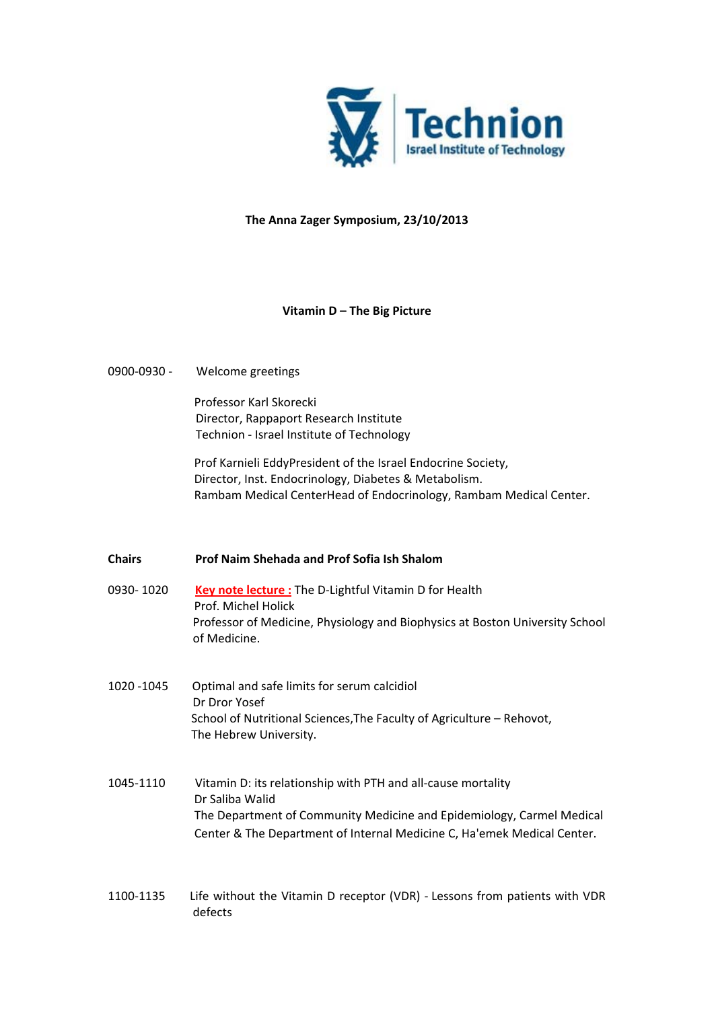

#### **The Anna Zager Symposium, 23/10/2013**

## **Vitamin D – The Big Picture**

## 0900-0930 - Welcome greetings

Professor Karl Skorecki Director, Rappaport Research Institute Technion - Israel Institute of Technology

Prof Karnieli EddyPresident of the Israel Endocrine Society, Director, Inst. Endocrinology, Diabetes & Metabolism. Rambam Medical CenterHead of Endocrinology, Rambam Medical Center.

#### **Chairs Prof Naim Shehada and Prof Sofia Ish Shalom**

- 0930- 1020 **Key note lecture :** The D-Lightful Vitamin D for Health Prof. Michel Holick Professor of Medicine, Physiology and Biophysics at Boston University School of Medicine.
- 1020 -1045 Optimal and safe limits for serum calcidiol Dr Dror Yosef School of Nutritional Sciences,The Faculty of Agriculture – Rehovot, The Hebrew University.
- 1045-1110 Vitamin D: its relationship with PTH and all-cause mortality Dr Saliba Walid The Department of Community Medicine and Epidemiology, Carmel Medical Center & The Department of Internal Medicine C, Ha'emek Medical Center.
- 1100-1135 Life without the Vitamin D receptor (VDR) Lessons from patients with VDR defects